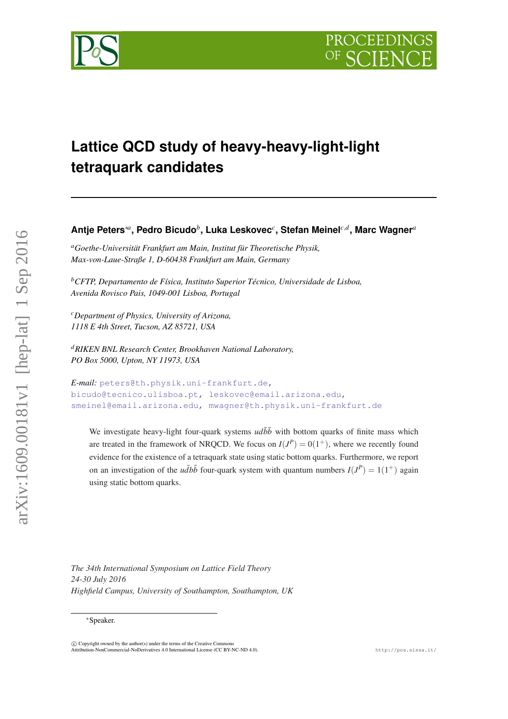

# **Lattice QCD study of heavy-heavy-light-light tetraquark candidates**

# **Antje Peters**∗*<sup>a</sup>* **, Pedro Bicudo***<sup>b</sup>* **, Luka Leskovec***<sup>c</sup>* **, Stefan Meinel***c*,*<sup>d</sup>* **, Marc Wagner***<sup>a</sup>*

*<sup>a</sup>Goethe-Universität Frankfurt am Main, Institut für Theoretische Physik, Max-von-Laue-Straße 1, D-60438 Frankfurt am Main, Germany*

*<sup>b</sup>CFTP, Departamento de Física, Instituto Superior Técnico, Universidade de Lisboa, Avenida Rovisco Pais, 1049-001 Lisboa, Portugal*

*<sup>c</sup>Department of Physics, University of Arizona, 1118 E 4th Street, Tucson, AZ 85721, USA*

*<sup>d</sup>RIKEN BNL Research Center, Brookhaven National Laboratory, PO Box 5000, Upton, NY 11973, USA*

```
E-mail: peters@th.physik.uni-frankfurt.de,
bicudo@tecnico.ulisboa.pt, leskovec@email.arizona.edu,
smeinel@email.arizona.edu, mwagner@th.physik.uni-frankfurt.de
```
We investigate heavy-light four-quark systems  $u d\bar{b}\bar{b}$  with bottom quarks of finite mass which are treated in the framework of NRQCD. We focus on  $I(J^P) = 0(1^+)$ , where we recently found evidence for the existence of a tetraquark state using static bottom quarks. Furthermore, we report on an investigation of the  $u\bar{d}b\bar{b}$  four-quark system with quantum numbers  $I(J^P) = 1(1^+)$  again using static bottom quarks.

*The 34th International Symposium on Lattice Field Theory 24-30 July 2016 Highfield Campus, University of Southampton, Southampton, UK*

<sup>∗</sup>Speaker.

 $\overline{c}$  Copyright owned by the author(s) under the terms of the Creative Common Attribution-NonCommercial-NoDerivatives 4.0 International License (CC BY-NC-ND 4.0). http://pos.sissa.it/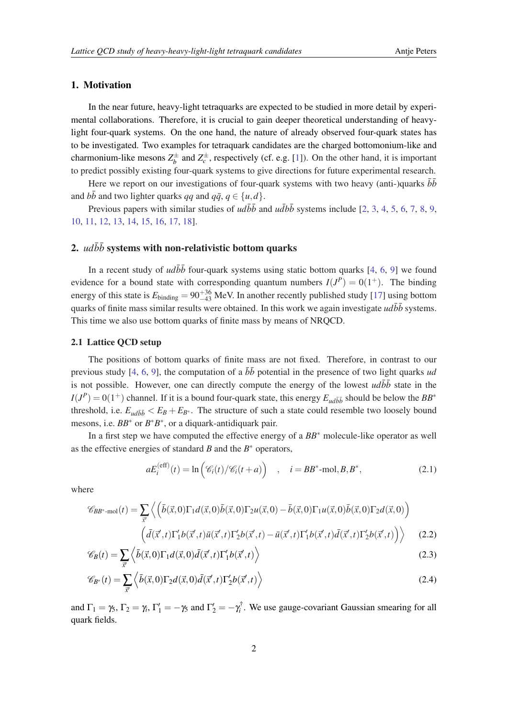#### <span id="page-1-0"></span>1. Motivation

In the near future, heavy-light tetraquarks are expected to be studied in more detail by experimental collaborations. Therefore, it is crucial to gain deeper theoretical understanding of heavylight four-quark systems. On the one hand, the nature of already observed four-quark states has to be investigated. Two examples for tetraquark candidates are the charged bottomonium-like and charmonium-like mesons  $Z_h^{\pm}$  $b_b^{\pm}$  and  $Z_c^{\pm}$ , respectively (cf. e.g. [\[1\]](#page-4-0)). On the other hand, it is important to predict possibly existing four-quark systems to give directions for future experimental research.

Here we report on our investigations of four-quark systems with two heavy (anti-)quarks  $\bar{b}\bar{b}$ and  $b\bar{b}$  and two lighter quarks *qq* and  $q\bar{q}$ ,  $q \in \{u, d\}.$ 

Previous papers with similar studies of  $ud\overline{b}\overline{b}$  and  $ud\overline{b}\overline{b}$  systems include [\[2,](#page-4-0) [3](#page-5-0), [4,](#page-5-0) [5,](#page-5-0) [6](#page-5-0), [7,](#page-5-0) [8,](#page-5-0) [9](#page-5-0), [10](#page-5-0), [11,](#page-5-0) [12,](#page-5-0) [13](#page-5-0), [14,](#page-5-0) [15](#page-5-0), [16](#page-5-0), [17,](#page-5-0) [18](#page-5-0)].

## 2.  $ud\bar{b}\bar{b}$  systems with non-relativistic bottom quarks

In a recent study of  $ud\overline{b}\overline{b}$  four-quark systems using static bottom quarks [[4](#page-5-0), [6](#page-5-0), [9\]](#page-5-0) we found evidence for a bound state with corresponding quantum numbers  $I(J^P) = O(1^+)$ . The binding energy of this state is  $E_{\text{binding}} = 90^{+36}_{-43}$  MeV. In another recently published study [[17](#page-5-0)] using bottom quarks of finite mass similar results were obtained. In this work we again investigate  $ud\bar{b}\bar{b}$  systems. This time we also use bottom quarks of finite mass by means of NRQCD.

#### 2.1 Lattice QCD setup

The positions of bottom quarks of finite mass are not fixed. Therefore, in contrast to our previous study [\[4,](#page-5-0) [6](#page-5-0), [9\]](#page-5-0), the computation of a  $b\bar{b}$  potential in the presence of two light quarks *ud* is not possible. However, one can directly compute the energy of the lowest  $\overline{udbb}$  state in the  $I(J^P) = 0(1^+)$  channel. If it is a bound four-quark state, this energy  $E_{ud\bar{b}\bar{b}}$  should be below the  $BB^*$ threshold, i.e.  $E_{ud\bar{b}\bar{b}} < E_B + E_{B^*}$ . The structure of such a state could resemble two loosely bound mesons, i.e.  $BB^*$  or  $B^*B^*$ , or a diquark-antidiquark pair.

In a first step we have computed the effective energy of a *BB*<sup>∗</sup> molecule-like operator as well as the effective energies of standard  $B$  and the  $B^*$  operators,

$$
aE_i^{(\text{eff})}(t) = \ln\left(\mathcal{C}_i(t)/\mathcal{C}_i(t+a)\right) \quad , \quad i = BB^* \text{-mol}, B, B^*, \tag{2.1}
$$

where

$$
\mathscr{C}_{BB^*\text{-mol}}(t) = \sum_{\vec{x}'} \left\langle \left( \bar{b}(\vec{x},0)\Gamma_1 d(\vec{x},0)\bar{b}(\vec{x},0)\Gamma_2 u(\vec{x},0) - \bar{b}(\vec{x},0)\Gamma_1 u(\vec{x},0)\bar{b}(\vec{x},0)\Gamma_2 d(\vec{x},0) \right) \right. \\ \left. \left( \bar{d}(\vec{x}',t)\Gamma_1'b(\vec{x}',t)\bar{u}(\vec{x}',t)\Gamma_2'b(\vec{x}',t) - \bar{u}(\vec{x}',t)\Gamma_1'b(\vec{x}',t)\bar{d}(\vec{x}',t)\Gamma_2'b(\vec{x}',t) \right) \right\rangle \tag{2.2}
$$

$$
\mathscr{C}_B(t) = \sum_{\vec{x}'} \left\langle \bar{b}(\vec{x},0) \Gamma_1 d(\vec{x},0) \bar{d}(\vec{x}',t) \Gamma_1' b(\vec{x}',t) \right\rangle \tag{2.3}
$$

$$
\mathscr{C}_{B^*}(t) = \sum_{\vec{x}'} \left\langle \vec{b}(\vec{x},0) \Gamma_2 d(\vec{x},0) \vec{d}(\vec{x}',t) \Gamma_2' b(\vec{x}',t) \right\rangle
$$
\n(2.4)

and  $\Gamma_1 = \gamma_5$ ,  $\Gamma_2 = \gamma_i$ ,  $\Gamma'_1 = -\gamma_5$  and  $\Gamma'_2 = -\gamma_i^{\dagger}$ . We use gauge-covariant Gaussian smearing for all quark fields.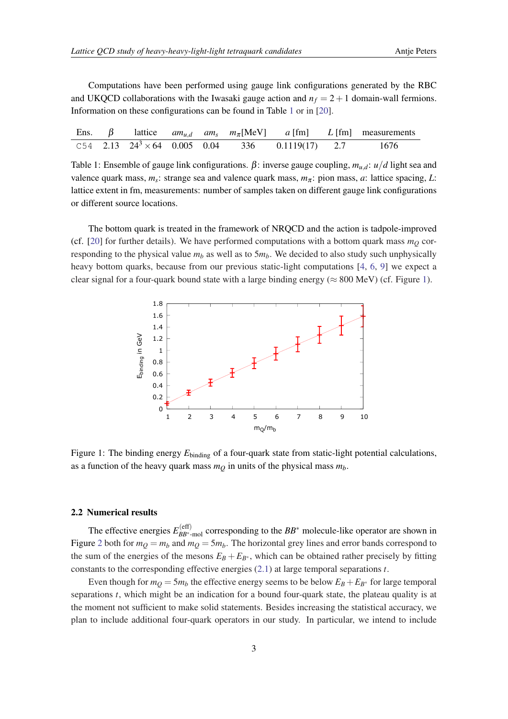Computations have been performed using gauge link configurations generated by the RBC and UKQCD collaborations with the Iwasaki gauge action and  $n_f = 2 + 1$  domain-wall fermions. Information on these configurations can be found in Table 1 or in [[20\]](#page-5-0).

|  |  |  |                                                              | Ens. $\beta$ lattice $am_{u,d}$ am <sub>s</sub> $m_{\pi}$ [MeV] a [fm] L [fm] measurements |
|--|--|--|--------------------------------------------------------------|--------------------------------------------------------------------------------------------|
|  |  |  | C54 2.13 $24^3 \times 64$ 0.005 0.04 336 0.1119(17) 2.7 1676 |                                                                                            |

Table 1: Ensemble of gauge link configurations. β: inverse gauge coupling, *mu*,*d*: *u*/*d* light sea and valence quark mass, *m<sup>s</sup>* : strange sea and valence quark mass, *m*<sup>π</sup> : pion mass, *a*: lattice spacing, *L*: lattice extent in fm, measurements: number of samples taken on different gauge link configurations or different source locations.

The bottom quark is treated in the framework of NRQCD and the action is tadpole-improved (cf. [[20\]](#page-5-0) for further details). We have performed computations with a bottom quark mass  $m<sub>O</sub>$  corresponding to the physical value  $m_b$  as well as to  $5m_b$ . We decided to also study such unphysically heavy bottom quarks, because from our previous static-light computations [\[4,](#page-5-0) [6](#page-5-0), [9](#page-5-0)] we expect a clear signal for a four-quark bound state with a large binding energy ( $\approx 800$  MeV) (cf. Figure 1).



Figure 1: The binding energy  $E_{\text{binding}}$  of a four-quark state from static-light potential calculations, as a function of the heavy quark mass  $m<sub>O</sub>$  in units of the physical mass  $m<sub>b</sub>$ .

#### 2.2 Numerical results

The effective energies  $E_{BB*}^{\text{(eff)}}$ *BB*<sup>∗</sup> -mol corresponding to the *BB*<sup>∗</sup> molecule-like operator are shown in Figure [2](#page-3-0) both for  $m_Q = m_b$  and  $m_Q = 5m_b$ . The horizontal grey lines and error bands correspond to the sum of the energies of the mesons  $E_B + E_{B^*}$ , which can be obtained rather precisely by fitting constants to the corresponding effective energies ([2.1](#page-1-0)) at large temporal separations *t*.

Even though for  $m_Q = 5m_b$  the effective energy seems to be below  $E_B + E_{B^*}$  for large temporal separations *t*, which might be an indication for a bound four-quark state, the plateau quality is at the moment not sufficient to make solid statements. Besides increasing the statistical accuracy, we plan to include additional four-quark operators in our study. In particular, we intend to include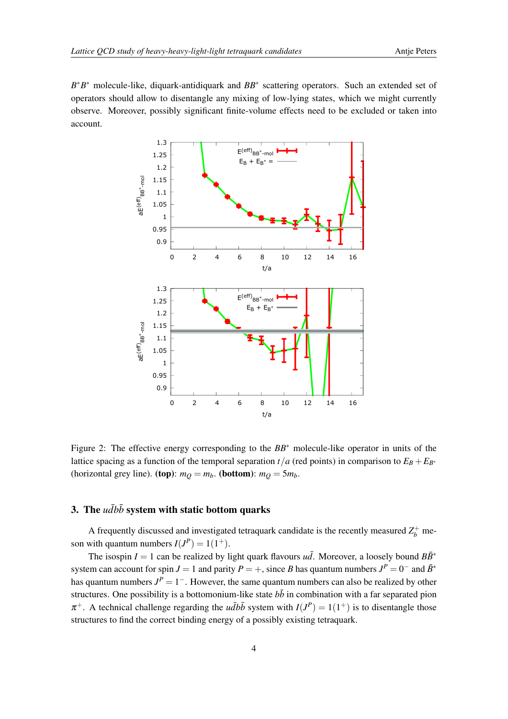<span id="page-3-0"></span>*B*<sup>\*</sup>*B*<sup>∗</sup> molecule-like, diquark-antidiquark and *BB*<sup>∗</sup> scattering operators. Such an extended set of operators should allow to disentangle any mixing of low-lying states, which we might currently observe. Moreover, possibly significant finite-volume effects need to be excluded or taken into account.



Figure 2: The effective energy corresponding to the *BB*<sup>∗</sup> molecule-like operator in units of the lattice spacing as a function of the temporal separation  $t/a$  (red points) in comparison to  $E_B + E_{B^*}$ (horizontal grey line). (top):  $m_Q = m_b$ . (bottom):  $m_Q = 5m_b$ .

# 3. The  $u\bar{d}b\bar{b}$  system with static bottom quarks

A frequently discussed and investigated tetraquark candidate is the recently measured  $Z_b^+$  meson with quantum numbers  $I(J^P) = 1(1^+).$ 

The isospin *I* = 1 can be realized by light quark flavours  $u\bar{d}$ . Moreover, a loosely bound  $B\bar{B}^*$ system can account for spin *J* = 1 and parity *P* = +, since *B* has quantum numbers  $J^P = 0^-$  and  $\bar{B}^*$ has quantum numbers  $J^P = 1^-$ . However, the same quantum numbers can also be realized by other structures. One possibility is a bottomonium-like state  $b\bar{b}$  in combination with a far separated pion  $\pi^+$ . A technical challenge regarding the *udbb* system with  $I(J^P) = 1(1^+)$  is to disentangle those structures to find the correct binding energy of a possibly existing tetraquark.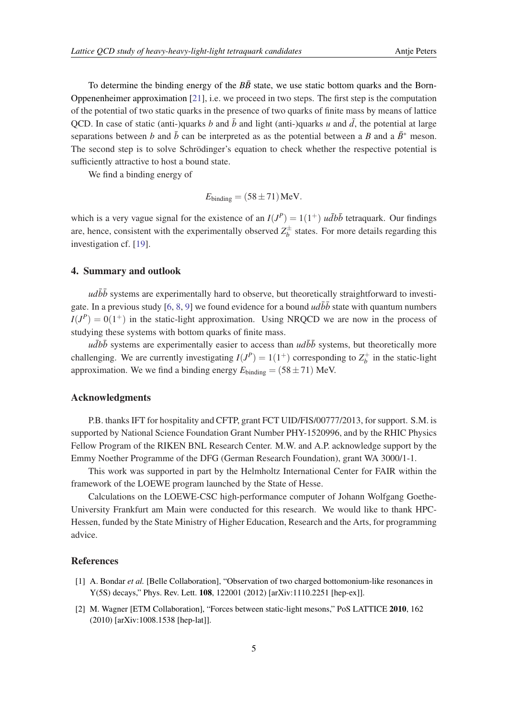<span id="page-4-0"></span>To determine the binding energy of the  $B\bar{B}$  state, we use static bottom quarks and the Born-Oppenenheimer approximation [[21](#page-5-0)], i.e. we proceed in two steps. The first step is the computation of the potential of two static quarks in the presence of two quarks of finite mass by means of lattice QCD. In case of static (anti-)quarks *b* and  $\bar{b}$  and light (anti-)quarks *u* and  $\bar{d}$ , the potential at large separations between *b* and  $\bar{b}$  can be interpreted as as the potential between a *B* and a  $\bar{B}^*$  meson. The second step is to solve Schrödinger's equation to check whether the respective potential is sufficiently attractive to host a bound state.

We find a binding energy of

$$
E_{\text{binding}} = (58 \pm 71) \,\text{MeV}.
$$

which is a very vague signal for the existence of an  $I(J^P) = 1(1^+)$  *udbb* tetraquark. Our findings are, hence, consistent with the experimentally observed  $Z_h^{\pm}$  $b_b^{\pm}$  states. For more details regarding this investigation cf. [\[19](#page-5-0)].

## 4. Summary and outlook

 $u d\bar{b}\bar{b}$  systems are experimentally hard to observe, but theoretically straightforward to investi-gate. In a previous study [[6](#page-5-0), [8,](#page-5-0) [9](#page-5-0)] we found evidence for a bound  $ud\overline{b}\overline{b}$  state with quantum numbers  $I(J^P) = 0(1^+)$  in the static-light approximation. Using NRQCD we are now in the process of studying these systems with bottom quarks of finite mass.

 $u\overline{d}b\overline{b}$  systems are experimentally easier to access than  $ud\overline{b}\overline{b}$  systems, but theoretically more challenging. We are currently investigating  $I(J^P) = 1(1^+)$  corresponding to  $Z_b^+$  in the static-light approximation. We we find a binding energy  $E_{\text{binding}} = (58 \pm 71)$  MeV.

#### Acknowledgments

P.B. thanks IFT for hospitality and CFTP, grant FCT UID/FIS/00777/2013, for support. S.M. is supported by National Science Foundation Grant Number PHY-1520996, and by the RHIC Physics Fellow Program of the RIKEN BNL Research Center. M.W. and A.P. acknowledge support by the Emmy Noether Programme of the DFG (German Research Foundation), grant WA 3000/1-1.

This work was supported in part by the Helmholtz International Center for FAIR within the framework of the LOEWE program launched by the State of Hesse.

Calculations on the LOEWE-CSC high-performance computer of Johann Wolfgang Goethe-University Frankfurt am Main were conducted for this research. We would like to thank HPC-Hessen, funded by the State Ministry of Higher Education, Research and the Arts, for programming advice.

## References

- [1] A. Bondar *et al.* [Belle Collaboration], "Observation of two charged bottomonium-like resonances in Y(5S) decays," Phys. Rev. Lett. 108, 122001 (2012) [arXiv:1110.2251 [hep-ex]].
- [2] M. Wagner [ETM Collaboration], "Forces between static-light mesons," PoS LATTICE 2010, 162 (2010) [arXiv:1008.1538 [hep-lat]].